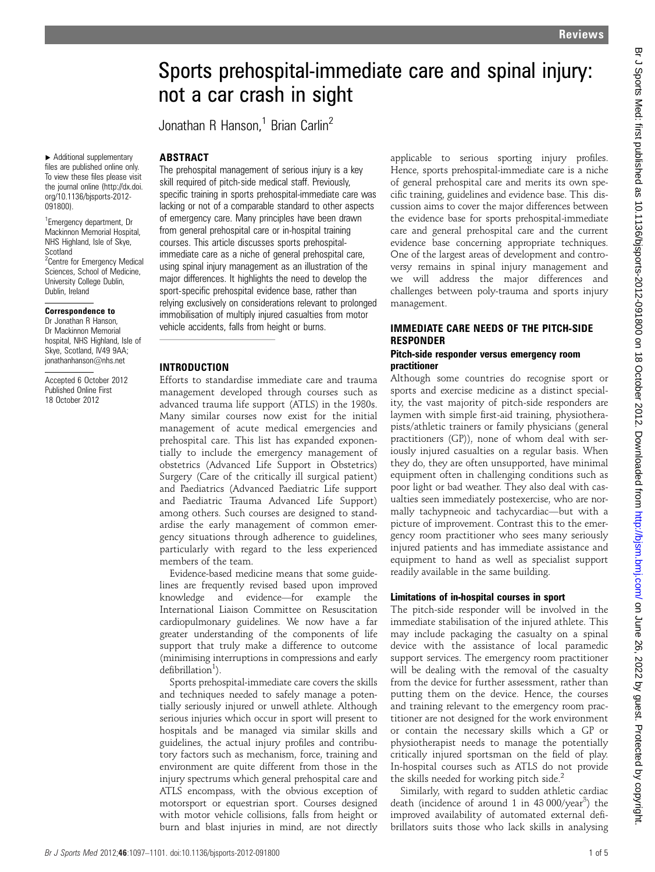# Sports prehospital-immediate care and spinal injury: not a car crash in sight

Jonathan R Hanson,<sup>1</sup> Brian Carlin<sup>2</sup>

# **ABSTRACT**

▸ Additional supplementary files are published online only. To view these files please visit the journal online ([http://dx.doi.](http://dx.doi.org/10.1136/bjsports-2012-091800) [org/10.1136/bjsports-2012-](http://dx.doi.org/10.1136/bjsports-2012-091800) [091800\)](http://dx.doi.org/10.1136/bjsports-2012-091800).

<sup>1</sup> Emergency department, Dr Mackinnon Memorial Hospital, NHS Highland, Isle of Skye, Scotland <sup>2</sup> Centre for Emergency Medical Sciences, School of Medicine, University College Dublin, Dublin, Ireland

#### Correspondence to

Dr Jonathan R Hanson, Dr Mackinnon Memorial hospital, NHS Highland, Isle of Skye, Scotland, IV49 9AA; jonathanhanson@nhs.net

Accepted 6 October 2012 Published Online First 18 October 2012

The prehospital management of serious injury is a key skill required of pitch-side medical staff. Previously, specific training in sports prehospital-immediate care was lacking or not of a comparable standard to other aspects of emergency care. Many principles have been drawn from general prehospital care or in-hospital training courses. This article discusses sports prehospitalimmediate care as a niche of general prehospital care, using spinal injury management as an illustration of the major differences. It highlights the need to develop the sport-specific prehospital evidence base, rather than relying exclusively on considerations relevant to prolonged immobilisation of multiply injured casualties from motor vehicle accidents, falls from height or burns.

#### INTRODUCTION

Efforts to standardise immediate care and trauma management developed through courses such as advanced trauma life support (ATLS) in the 1980s. Many similar courses now exist for the initial management of acute medical emergencies and prehospital care. This list has expanded exponentially to include the emergency management of obstetrics (Advanced Life Support in Obstetrics) Surgery (Care of the critically ill surgical patient) and Paediatrics (Advanced Paediatric Life support and Paediatric Trauma Advanced Life Support) among others. Such courses are designed to standardise the early management of common emergency situations through adherence to guidelines, particularly with regard to the less experienced members of the team.

Evidence-based medicine means that some guidelines are frequently revised based upon improved knowledge and evidence—for example the International Liaison Committee on Resuscitation cardiopulmonary guidelines. We now have a far greater understanding of the components of life support that truly make a difference to outcome (minimising interruptions in compressions and early defibrillation<sup>1</sup>).

Sports prehospital-immediate care covers the skills and techniques needed to safely manage a potentially seriously injured or unwell athlete. Although serious injuries which occur in sport will present to hospitals and be managed via similar skills and guidelines, the actual injury profiles and contributory factors such as mechanism, force, training and environment are quite different from those in the injury spectrums which general prehospital care and ATLS encompass, with the obvious exception of motorsport or equestrian sport. Courses designed with motor vehicle collisions, falls from height or burn and blast injuries in mind, are not directly applicable to serious sporting injury profiles. Hence, sports prehospital-immediate care is a niche of general prehospital care and merits its own specific training, guidelines and evidence base. This discussion aims to cover the major differences between the evidence base for sports prehospital-immediate care and general prehospital care and the current evidence base concerning appropriate techniques. One of the largest areas of development and controversy remains in spinal injury management and we will address the major differences and challenges between poly-trauma and sports injury management.

# IMMEDIATE CARE NEEDS OF THE PITCH-SIDE **RESPONDER**

### Pitch-side responder versus emergency room practitioner

Although some countries do recognise sport or sports and exercise medicine as a distinct speciality, the vast majority of pitch-side responders are laymen with simple first-aid training, physiotherapists/athletic trainers or family physicians (general practitioners (GP)), none of whom deal with seriously injured casualties on a regular basis. When they do, they are often unsupported, have minimal equipment often in challenging conditions such as poor light or bad weather. They also deal with casualties seen immediately postexercise, who are normally tachypneoic and tachycardiac—but with a picture of improvement. Contrast this to the emergency room practitioner who sees many seriously injured patients and has immediate assistance and equipment to hand as well as specialist support readily available in the same building.

#### Limitations of in-hospital courses in sport

The pitch-side responder will be involved in the immediate stabilisation of the injured athlete. This may include packaging the casualty on a spinal device with the assistance of local paramedic support services. The emergency room practitioner will be dealing with the removal of the casualty from the device for further assessment, rather than putting them on the device. Hence, the courses and training relevant to the emergency room practitioner are not designed for the work environment or contain the necessary skills which a GP or physiotherapist needs to manage the potentially critically injured sportsman on the field of play. In-hospital courses such as ATLS do not provide the skills needed for working pitch side.<sup>2</sup>

Similarly, with regard to sudden athletic cardiac death (incidence of around 1 in 43 000/year<sup>3</sup>) the improved availability of automated external defibrillators suits those who lack skills in analysing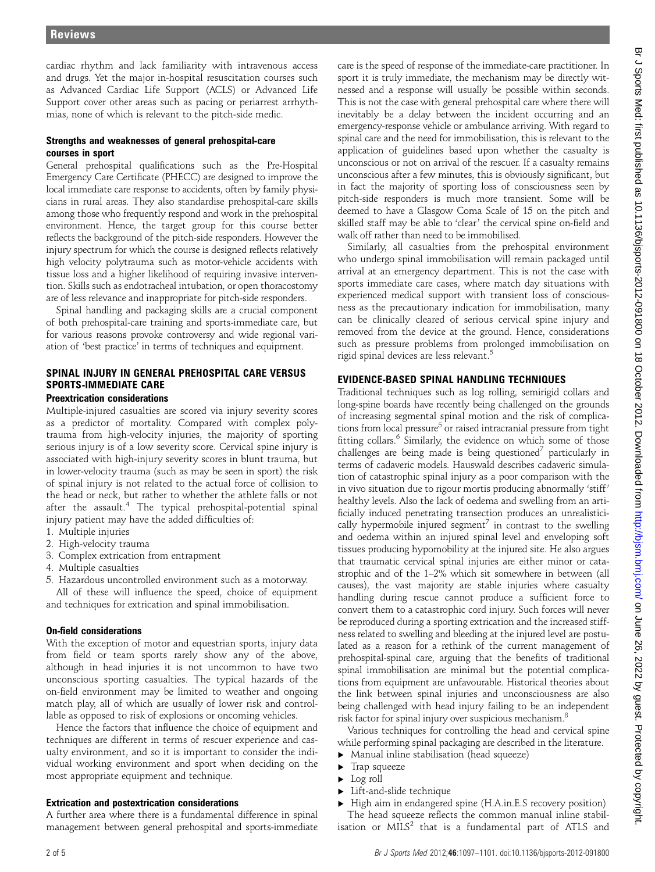cardiac rhythm and lack familiarity with intravenous access and drugs. Yet the major in-hospital resuscitation courses such as Advanced Cardiac Life Support (ACLS) or Advanced Life Support cover other areas such as pacing or periarrest arrhythmias, none of which is relevant to the pitch-side medic.

### Strengths and weaknesses of general prehospital-care courses in sport

General prehospital qualifications such as the Pre-Hospital Emergency Care Certificate (PHECC) are designed to improve the local immediate care response to accidents, often by family physicians in rural areas. They also standardise prehospital-care skills among those who frequently respond and work in the prehospital environment. Hence, the target group for this course better reflects the background of the pitch-side responders. However the injury spectrum for which the course is designed reflects relatively high velocity polytrauma such as motor-vehicle accidents with tissue loss and a higher likelihood of requiring invasive intervention. Skills such as endotracheal intubation, or open thoracostomy are of less relevance and inappropriate for pitch-side responders.

Spinal handling and packaging skills are a crucial component of both prehospital-care training and sports-immediate care, but for various reasons provoke controversy and wide regional variation of 'best practice' in terms of techniques and equipment.

# SPINAL INJURY IN GENERAL PREHOSPITAL CARE VERSUS SPORTS-IMMEDIATE CARE

# Preextrication considerations

Multiple-injured casualties are scored via injury severity scores as a predictor of mortality. Compared with complex polytrauma from high-velocity injuries, the majority of sporting serious injury is of a low severity score. Cervical spine injury is associated with high-injury severity scores in blunt trauma, but in lower-velocity trauma (such as may be seen in sport) the risk of spinal injury is not related to the actual force of collision to the head or neck, but rather to whether the athlete falls or not after the assault.<sup>4</sup> The typical prehospital-potential spinal injury patient may have the added difficulties of:

- 1. Multiple injuries
- 2. High-velocity trauma
- 3. Complex extrication from entrapment
- 4. Multiple casualties
- 5. Hazardous uncontrolled environment such as a motorway.

All of these will influence the speed, choice of equipment and techniques for extrication and spinal immobilisation.

#### On-field considerations

With the exception of motor and equestrian sports, injury data from field or team sports rarely show any of the above, although in head injuries it is not uncommon to have two unconscious sporting casualties. The typical hazards of the on-field environment may be limited to weather and ongoing match play, all of which are usually of lower risk and controllable as opposed to risk of explosions or oncoming vehicles.

Hence the factors that influence the choice of equipment and techniques are different in terms of rescuer experience and casualty environment, and so it is important to consider the individual working environment and sport when deciding on the most appropriate equipment and technique.

#### Extrication and postextrication considerations

A further area where there is a fundamental difference in spinal management between general prehospital and sports-immediate

care is the speed of response of the immediate-care practitioner. In sport it is truly immediate, the mechanism may be directly witnessed and a response will usually be possible within seconds. This is not the case with general prehospital care where there will inevitably be a delay between the incident occurring and an emergency-response vehicle or ambulance arriving. With regard to spinal care and the need for immobilisation, this is relevant to the application of guidelines based upon whether the casualty is unconscious or not on arrival of the rescuer. If a casualty remains unconscious after a few minutes, this is obviously significant, but in fact the majority of sporting loss of consciousness seen by pitch-side responders is much more transient. Some will be deemed to have a Glasgow Coma Scale of 15 on the pitch and skilled staff may be able to 'clear' the cervical spine on-field and walk off rather than need to be immobilised.

Similarly, all casualties from the prehospital environment who undergo spinal immobilisation will remain packaged until arrival at an emergency department. This is not the case with sports immediate care cases, where match day situations with experienced medical support with transient loss of consciousness as the precautionary indication for immobilisation, many can be clinically cleared of serious cervical spine injury and removed from the device at the ground. Hence, considerations such as pressure problems from prolonged immobilisation on rigid spinal devices are less relevant.<sup>5</sup>

# EVIDENCE-BASED SPINAL HANDLING TECHNIQUES

Traditional techniques such as log rolling, semirigid collars and long-spine boards have recently being challenged on the grounds of increasing segmental spinal motion and the risk of complications from local pressure<sup>5</sup> or raised intracranial pressure from tight fitting collars.<sup>6</sup> Similarly, the evidence on which some of those challenges are being made is being questioned<sup>7</sup> particularly in terms of cadaveric models. Hauswald describes cadaveric simulation of catastrophic spinal injury as a poor comparison with the in vivo situation due to rigour mortis producing abnormally 'stiff' healthy levels. Also the lack of oedema and swelling from an artificially induced penetrating transection produces an unrealisticically hypermobile injured segment<sup> $\prime$ </sup> in contrast to the swelling and oedema within an injured spinal level and enveloping soft tissues producing hypomobility at the injured site. He also argues that traumatic cervical spinal injuries are either minor or catastrophic and of the 1–2% which sit somewhere in between (all causes), the vast majority are stable injuries where casualty handling during rescue cannot produce a sufficient force to convert them to a catastrophic cord injury. Such forces will never be reproduced during a sporting extrication and the increased stiffness related to swelling and bleeding at the injured level are postulated as a reason for a rethink of the current management of prehospital-spinal care, arguing that the benefits of traditional spinal immobilisation are minimal but the potential complications from equipment are unfavourable. Historical theories about the link between spinal injuries and unconsciousness are also being challenged with head injury failing to be an independent risk factor for spinal injury over suspicious mechanism.<sup>8</sup>

Various techniques for controlling the head and cervical spine while performing spinal packaging are described in the literature.

- ▸ Manual inline stabilisation (head squeeze)
- Trap squeeze
- Log roll
- Lift-and-slide technique
- High aim in endangered spine (H.A.in.E.S recovery position) The head squeeze reflects the common manual inline stabil-
- isation or  $MILS<sup>2</sup>$  that is a fundamental part of ATLS and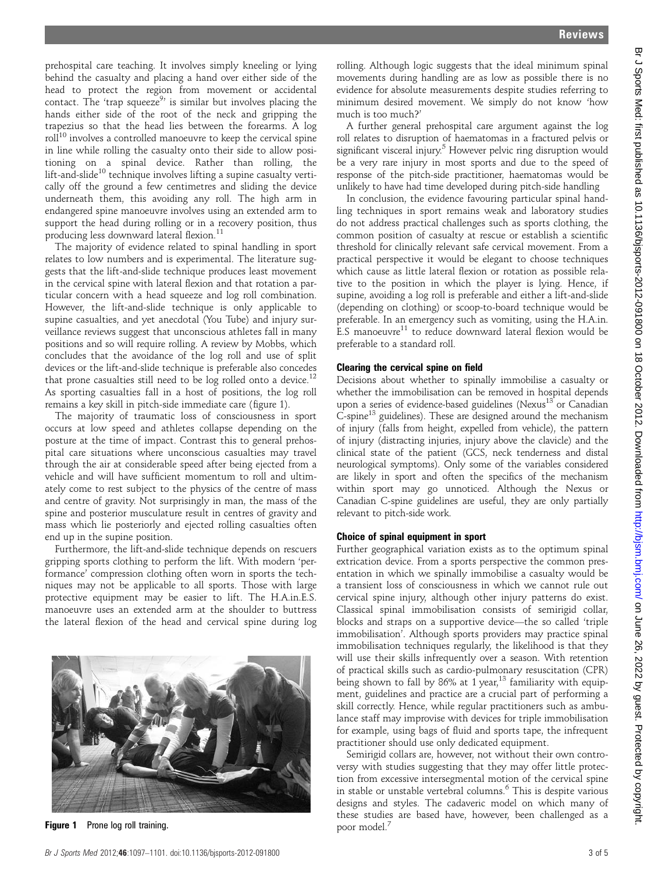prehospital care teaching. It involves simply kneeling or lying behind the casualty and placing a hand over either side of the head to protect the region from movement or accidental contact. The 'trap squeeze $9'$  is similar but involves placing the hands either side of the root of the neck and gripping the trapezius so that the head lies between the forearms. A log  $roll<sup>10</sup>$  involves a controlled manoeuvre to keep the cervical spine in line while rolling the casualty onto their side to allow positioning on a spinal device. Rather than rolling, the lift-and-slide<sup>10</sup> technique involves lifting a supine casualty vertically off the ground a few centimetres and sliding the device underneath them, this avoiding any roll. The high arm in endangered spine manoeuvre involves using an extended arm to support the head during rolling or in a recovery position, thus producing less downward lateral flexion.<sup>11</sup>

The majority of evidence related to spinal handling in sport relates to low numbers and is experimental. The literature suggests that the lift-and-slide technique produces least movement in the cervical spine with lateral flexion and that rotation a particular concern with a head squeeze and log roll combination. However, the lift-and-slide technique is only applicable to supine casualties, and yet anecdotal (You Tube) and injury surveillance reviews suggest that unconscious athletes fall in many positions and so will require rolling. A review by Mobbs, which concludes that the avoidance of the log roll and use of split devices or the lift-and-slide technique is preferable also concedes that prone casualties still need to be log rolled onto a device.<sup>12</sup> As sporting casualties fall in a host of positions, the log roll remains a key skill in pitch-side immediate care (figure 1).

The majority of traumatic loss of consciousness in sport occurs at low speed and athletes collapse depending on the posture at the time of impact. Contrast this to general prehospital care situations where unconscious casualties may travel through the air at considerable speed after being ejected from a vehicle and will have sufficient momentum to roll and ultimately come to rest subject to the physics of the centre of mass and centre of gravity. Not surprisingly in man, the mass of the spine and posterior musculature result in centres of gravity and mass which lie posteriorly and ejected rolling casualties often end up in the supine position.

Furthermore, the lift-and-slide technique depends on rescuers gripping sports clothing to perform the lift. With modern 'performance' compression clothing often worn in sports the techniques may not be applicable to all sports. Those with large protective equipment may be easier to lift. The H.A.in.E.S. manoeuvre uses an extended arm at the shoulder to buttress the lateral flexion of the head and cervical spine during log



**Figure 1** Prone log roll training. The state of the state of the poor model.<sup>7</sup>

rolling. Although logic suggests that the ideal minimum spinal movements during handling are as low as possible there is no evidence for absolute measurements despite studies referring to minimum desired movement. We simply do not know 'how much is too much?'

A further general prehospital care argument against the log roll relates to disruption of haematomas in a fractured pelvis or significant visceral injury.<sup>5</sup> However pelvic ring disruption would be a very rare injury in most sports and due to the speed of response of the pitch-side practitioner, haematomas would be unlikely to have had time developed during pitch-side handling

In conclusion, the evidence favouring particular spinal handling techniques in sport remains weak and laboratory studies do not address practical challenges such as sports clothing, the common position of casualty at rescue or establish a scientific threshold for clinically relevant safe cervical movement. From a practical perspective it would be elegant to choose techniques which cause as little lateral flexion or rotation as possible relative to the position in which the player is lying. Hence, if supine, avoiding a log roll is preferable and either a lift-and-slide (depending on clothing) or scoop-to-board technique would be preferable. In an emergency such as vomiting, using the H.A.in. E.S manoeuvre<sup>11</sup> to reduce downward lateral flexion would be preferable to a standard roll.

#### Clearing the cervical spine on field

Decisions about whether to spinally immobilise a casualty or whether the immobilisation can be removed in hospital depends upon a series of evidence-based guidelines (Nexus<sup>13</sup> or Canadian  $C$ -spine<sup>13</sup> guidelines). These are designed around the mechanism of injury (falls from height, expelled from vehicle), the pattern of injury (distracting injuries, injury above the clavicle) and the clinical state of the patient (GCS, neck tenderness and distal neurological symptoms). Only some of the variables considered are likely in sport and often the specifics of the mechanism within sport may go unnoticed. Although the Nexus or Canadian C-spine guidelines are useful, they are only partially relevant to pitch-side work.

#### Choice of spinal equipment in sport

Further geographical variation exists as to the optimum spinal extrication device. From a sports perspective the common presentation in which we spinally immobilise a casualty would be a transient loss of consciousness in which we cannot rule out cervical spine injury, although other injury patterns do exist. Classical spinal immobilisation consists of semirigid collar, blocks and straps on a supportive device—the so called 'triple immobilisation'. Although sports providers may practice spinal immobilisation techniques regularly, the likelihood is that they will use their skills infrequently over a season. With retention of practical skills such as cardio-pulmonary resuscitation (CPR) being shown to fall by  $86\%$  at 1 year,<sup>13</sup> familiarity with equipment, guidelines and practice are a crucial part of performing a skill correctly. Hence, while regular practitioners such as ambulance staff may improvise with devices for triple immobilisation for example, using bags of fluid and sports tape, the infrequent practitioner should use only dedicated equipment.

Semirigid collars are, however, not without their own controversy with studies suggesting that they may offer little protection from excessive intersegmental motion of the cervical spine in stable or unstable vertebral columns.<sup>6</sup> This is despite various designs and styles. The cadaveric model on which many of these studies are based have, however, been challenged as a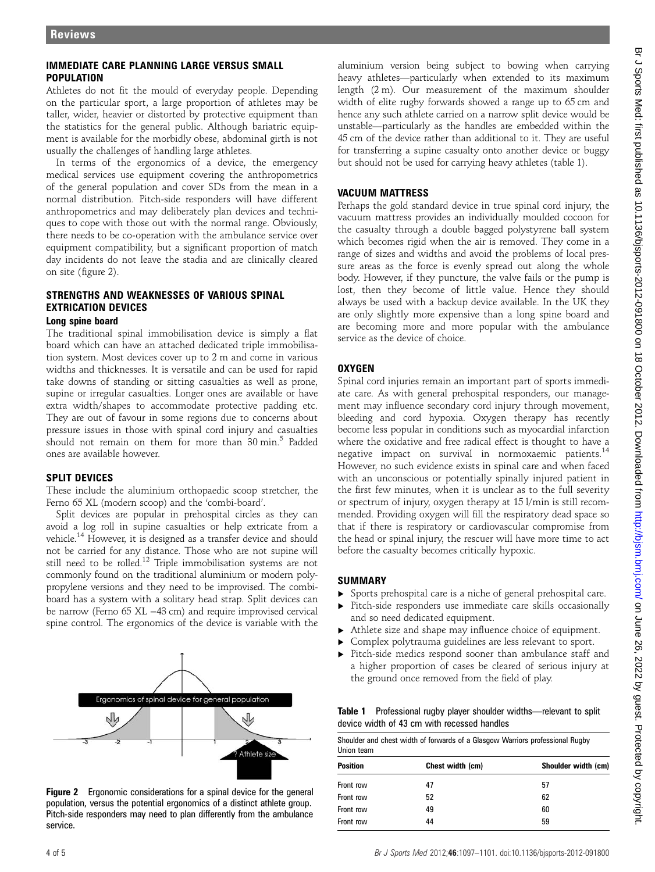# IMMEDIATE CARE PLANNING LARGE VERSUS SMALL POPULATION

Athletes do not fit the mould of everyday people. Depending on the particular sport, a large proportion of athletes may be taller, wider, heavier or distorted by protective equipment than the statistics for the general public. Although bariatric equipment is available for the morbidly obese, abdominal girth is not usually the challenges of handling large athletes.

In terms of the ergonomics of a device, the emergency medical services use equipment covering the anthropometrics of the general population and cover SDs from the mean in a normal distribution. Pitch-side responders will have different anthropometrics and may deliberately plan devices and techniques to cope with those out with the normal range. Obviously, there needs to be co-operation with the ambulance service over equipment compatibility, but a significant proportion of match day incidents do not leave the stadia and are clinically cleared on site (figure 2).

# STRENGTHS AND WEAKNESSES OF VARIOUS SPINAL EXTRICATION DEVICES

# Long spine board

The traditional spinal immobilisation device is simply a flat board which can have an attached dedicated triple immobilisation system. Most devices cover up to 2 m and come in various widths and thicknesses. It is versatile and can be used for rapid take downs of standing or sitting casualties as well as prone, supine or irregular casualties. Longer ones are available or have extra width/shapes to accommodate protective padding etc. They are out of favour in some regions due to concerns about pressure issues in those with spinal cord injury and casualties should not remain on them for more than  $30 \text{ min}^5$  Padded ones are available however.

# SPLIT DEVICES

These include the aluminium orthopaedic scoop stretcher, the Ferno 65 XL (modern scoop) and the 'combi-board'.

Split devices are popular in prehospital circles as they can avoid a log roll in supine casualties or help extricate from a vehicle.<sup>14</sup> However, it is designed as a transfer device and should not be carried for any distance. Those who are not supine will still need to be rolled.12 Triple immobilisation systems are not commonly found on the traditional aluminium or modern polypropylene versions and they need to be improvised. The combiboard has a system with a solitary head strap. Split devices can be narrow (Ferno 65 XL −43 cm) and require improvised cervical spine control. The ergonomics of the device is variable with the



Figure 2 Ergonomic considerations for a spinal device for the general population, versus the potential ergonomics of a distinct athlete group. Pitch-side responders may need to plan differently from the ambulance service.

aluminium version being subject to bowing when carrying heavy athletes—particularly when extended to its maximum length (2 m). Our measurement of the maximum shoulder width of elite rugby forwards showed a range up to 65 cm and hence any such athlete carried on a narrow split device would be unstable—particularly as the handles are embedded within the 45 cm of the device rather than additional to it. They are useful for transferring a supine casualty onto another device or buggy but should not be used for carrying heavy athletes (table 1).

# VACUUM MATTRESS

Perhaps the gold standard device in true spinal cord injury, the vacuum mattress provides an individually moulded cocoon for the casualty through a double bagged polystyrene ball system which becomes rigid when the air is removed. They come in a range of sizes and widths and avoid the problems of local pressure areas as the force is evenly spread out along the whole body. However, if they puncture, the valve fails or the pump is lost, then they become of little value. Hence they should always be used with a backup device available. In the UK they are only slightly more expensive than a long spine board and are becoming more and more popular with the ambulance service as the device of choice.

# **OXYGEN**

Spinal cord injuries remain an important part of sports immediate care. As with general prehospital responders, our management may influence secondary cord injury through movement, bleeding and cord hypoxia. Oxygen therapy has recently become less popular in conditions such as myocardial infarction where the oxidative and free radical effect is thought to have a negative impact on survival in normoxaemic patients.<sup>14</sup> However, no such evidence exists in spinal care and when faced with an unconscious or potentially spinally injured patient in the first few minutes, when it is unclear as to the full severity or spectrum of injury, oxygen therapy at 15 l/min is still recommended. Providing oxygen will fill the respiratory dead space so that if there is respiratory or cardiovascular compromise from the head or spinal injury, the rescuer will have more time to act before the casualty becomes critically hypoxic.

#### **SUMMARY**

- ▸ Sports prehospital care is a niche of general prehospital care.
- Pitch-side responders use immediate care skills occasionally and so need dedicated equipment.
- Athlete size and shape may influence choice of equipment.
- Complex polytrauma guidelines are less relevant to sport.
- Pitch-side medics respond sooner than ambulance staff and a higher proportion of cases be cleared of serious injury at the ground once removed from the field of play.

Table 1 Professional rugby player shoulder widths—relevant to split device width of 43 cm with recessed handles

| Shoulder and chest width of forwards of a Glasgow Warriors professional Rugby<br>Union team |                  |                     |
|---------------------------------------------------------------------------------------------|------------------|---------------------|
| <b>Position</b>                                                                             | Chest width (cm) | Shoulder width (cm) |
| Front row                                                                                   | 47               | 57                  |
| Front row                                                                                   | 52               | 62                  |
| Front row                                                                                   | 49               | 60                  |
| Front row                                                                                   | 44               | 59                  |